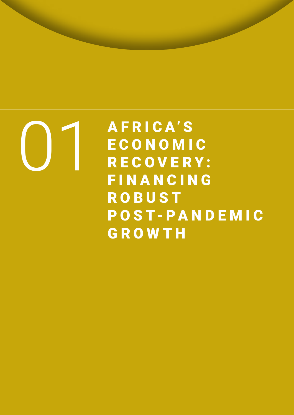# 01

A F R I C A' S **ECONOMIC** R E C O V E R Y : **FINANCING ROBUST** POST-PANDE MIC GROWTH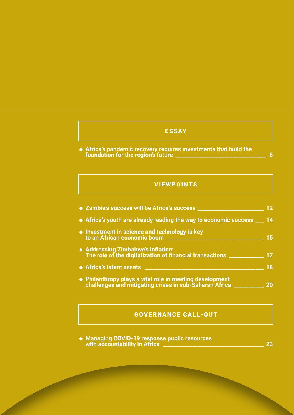## ESSAY

⁕ **Africa's pandemic recovery requires investments that build the foundation for the region's future \_\_\_\_\_\_\_\_\_\_\_\_\_\_\_\_\_\_\_\_\_\_\_\_\_\_\_\_\_\_\_\_\_\_ 8**

### VIEWPOINTS

| * Zambia's success will be Africa's success _                                                                                                                                                                                   | 12                              |
|---------------------------------------------------------------------------------------------------------------------------------------------------------------------------------------------------------------------------------|---------------------------------|
| * Africa's youth are already leading the way to economic success __ 14<br>* Investment in science and technology is key<br>* Addressing Zimbabwe's inflation:<br>The role of the digitalization of financial transactions _____ | 15                              |
|                                                                                                                                                                                                                                 |                                 |
|                                                                                                                                                                                                                                 | <b>*</b> Africa's latent assets |
| * Philanthropy plays a vital role in meeting development<br>challenges and mitigating crises in sub-Saharan Africa _                                                                                                            | 20                              |

## GOVERNANCE CALL-OUT

⁕ **Managing COVID-19 response public resources with accountability in Africa \_\_\_\_\_\_\_\_\_\_\_\_\_\_\_\_\_\_\_\_\_\_\_\_\_\_\_\_\_\_\_\_\_\_\_\_\_\_ 23**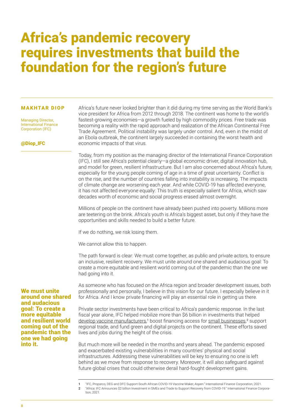# Africa's pandemic recovery requires investments that build the foundation for the region's future

#### MAKHTAR DIOP

Managing Director, International Finance Corporation (IFC)

@Diop\_IFC

Africa's future never looked brighter than it did during my time serving as the World Bank's vice president for Africa from 2012 through 2018. The continent was home to the world's fastest-growing economies—a growth fueled by high commodity prices. Free trade was becoming a reality with the rapid approach and realization of the African Continental Free Trade Agreement. Political instability was largely under control. And, even in the midst of an Ebola outbreak, the continent largely succeeded in containing the worst health and economic impacts of that virus.

Today, from my position as the managing director of the International Finance Corporation (IFC), I still see Africa's potential clearly—a global economic driver, digital innovation hub, and model for green, resilient infrastructure. But I am also concerned about Africa's future, especially for the young people coming of age in a time of great uncertainty. Conflict is on the rise, and the number of countries falling into instability is increasing. The impacts of climate change are worsening each year. And while COVID-19 has affected everyone, it has not affected everyone equally: This truth is especially salient for Africa, which saw decades worth of economic and social progress erased almost overnight.

Millions of people on the continent have already been pushed into poverty. Millions more are teetering on the brink. Africa's youth is Africa's biggest asset, but only if they have the opportunities and skills needed to build a better future.

If we do nothing, we risk losing them.

We cannot allow this to happen.

The path forward is clear: We must come together, as public and private actors, to ensure an inclusive, resilient recovery. We must unite around one shared and audacious goal: To create a more equitable and resilient world coming out of the pandemic than the one we had going into it.

As someone who has focused on the Africa region and broader development issues, both professionally and personally, I believe in this vision for our future. I especially believe in it for Africa. And I know private financing will play an essential role in getting us there.

Private sector investments have been critical to Africa's pandemic response. In the last fiscal year alone, IFC helped mobilize more than \$6 billion in investments that helped [develop vaccine manufacturers](https://pressroom.ifc.org/all/pages/PressDetail.aspx?ID=26468),<sup>1</sup> boost financing access for [small businesses](https://pressroom.ifc.org/all/pages/PressDetail.aspx?ID=26352),<sup>2</sup> support regional trade, and fund green and digital projects on the continent. These efforts saved lives and jobs during the height of the crisis.

But much more will be needed in the months and years ahead. The pandemic exposed and exacerbated existing vulnerabilities in many countries' physical and social infrastructures. Addressing these vulnerabilities will be key to ensuring no one is left behind as we move from response to recovery. Moreover, it will also safeguard against future global crises that could otherwise derail hard-fought development gains.

1 "IFC, Proparco, DEG and DFC Support South African COVID-19 Vaccine Maker, Aspen." International Finance Corporation, 2021.

2 "Africa: IFC Announces \$2 billion Investment in SMEs and Trade to Support Recovery from COVID-19." International Finance Corporation, 2021.

We must unite around one shared and audacious goal: To create a more equitable and resilient world coming out of the pandemic than the one we had going into it.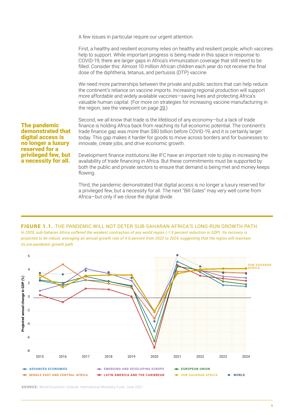A few issues in particular require our urgent attention.

First, a healthy and resilient economy relies on healthy and resilient people, which vaccines help to support. While important progress is being made in this space in response to COVID-19, there are larger gaps in Africa's immunization coverage that still need to be filled. Consider this: Almost 10 million African children each year do not receive the final dose of the diphtheria, tetanus, and pertussis (DTP) vaccine.

We need more partnerships between the private and public sectors that can help reduce the continent's reliance on vaccine imports. Increasing regional production will support more affordable and widely available vaccines—saving lives and protecting Africa's valuable human capital. (For more on strategies for increasing vaccine manufacturing in the region, see the viewpoint on page 39.)

The pandemic demonstrated that digital access is no longer a luxury reserved for a privileged few, but a necessity for all.

Second, we all know that trade is the lifeblood of any economy—but a lack of trade finance is holding Africa back from reaching its full economic potential. The continent's trade finance gap was more than \$80 billion before COVID-19, and it is certainly larger today. This gap makes it harder for goods to move across borders and for businesses to innovate, create jobs, and drive economic growth.

Development finance institutions like IFC have an important role to play in increasing the availability of trade financing in Africa. But these commitments must be supported by both the public and private sectors to ensure that demand is being met and money keeps flowing.

Third, the pandemic demonstrated that digital access is no longer a luxury reserved for a privileged few, but a necessity for all. The next "Bill Gates" may very well come from Africa—but only if we close the digital divide.

#### FIGURE 1.1. THE PANDEMIC WILL NOT DETER SUB-SAHARAN AFRICA'S LONG-RUN GROWTH PATH *In 2020, sub-Saharan Africa suffered the weakest contraction of any world region (-1.9 percent reduction in GDP). Its recovery is projected to be robust, averaging an annual growth rate of 4.0 percent from 2022 to 2024, suggesting that the region will maintain its pre-pandemic growth path.*



SOURCE: World Economic Outlook, International Monetary Fund. June 2021.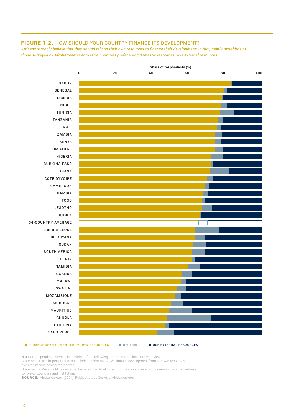#### FIGURE 1.2. HOW SHOULD YOUR COUNTRY FINANCE ITS DEVELOPMENT?

*Africans strongly believe that they should rely on their own resources to finance their development: In fact, nearly two-thirds of those surveyed by Afrobarometer across 34 countries prefer using domestic resources over external resources.* 



#### FINANCE DEVELOPMENT FROM OWN RESOURCES NEUTRAL USE EXTERNAL RESOURCES

NOTE: Respondents were asked: Which of the following statements is closest to your view?

Statement 1: It is important that as an independent nation, we finance development from our own resources,

even if it means paying more taxes.

Statement 2: We should use external loans for the development of the country, even if it increases our indebtedness to foreign countries and institutions.

SOURCE: Afrobarometer. (2021). Public Attitude Surveys. Afrobarometer.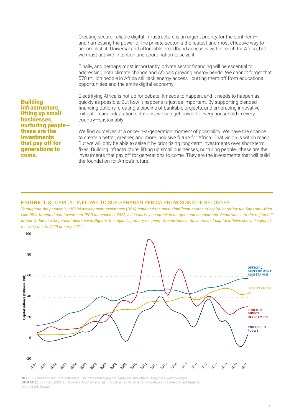Creating secure, reliable digital infrastructure is an urgent priority for the continent and harnessing the power of the private sector is the fastest and most effective way to accomplish it. Universal and affordable broadband access is within reach for Africa, but we must act with intention and coordination to seize it.

Finally, and perhaps most importantly, private sector financing will be essential to addressing both climate change and Africa's growing energy needs. We cannot forget that 578 million people in Africa still lack energy access—cutting them off from educational opportunities and the entire digital economy.

Electrifying Africa is not up for debate. It needs to happen, and it needs to happen as quickly as possible. But how it happens is just as important. By supporting blended financing options, creating a pipeline of bankable projects, and embracing innovative mitigation and adaptation solutions, we can get power to every household in every country—sustainably.

We find ourselves at a once-in-a-generation moment of possibility. We have the chance to create a better, greener, and more inclusive future for Africa. That vision is within reach. But we will only be able to seize it by prioritizing long-term investments over short-term fixes. Building infrastructure, lifting up small businesses, nurturing people—these are the investments that pay off for generations to come. They are the investments that will build the foundation for Africa's future.

#### FIGURE 1.3. CAPITAL INFLOWS TO SUB-SAHARAN AFRICA SHOW SIGNS OF RECOVERY

*Throughout the pandemic, official development assistance (ODA) remained the most significant source of capital entering sub-Saharan Africa.*  Like ODA, foreign direct investment (FDI) increased in 2020, led in part by an uptick in mergers and acquisitions. Remittances to the region fell *primarily due to a 28 percent decrease in Nigeria, the region's primary recipient of remittances. All sources of capital inflows showed signs of recovery in late 2020 or early 2021.*



NOTE: Values for 2021 are estimates. The data underlying the figure are smoothed using three-year averages SOURCE: Knomad. (2021). "Recovery: COVID-19 crisis through a migration lens." Migration and Development Brief 35. World Bank Group.

Building infrastructure, lifting up small businesses, nurturing people these are the investments that pay off for generations to come.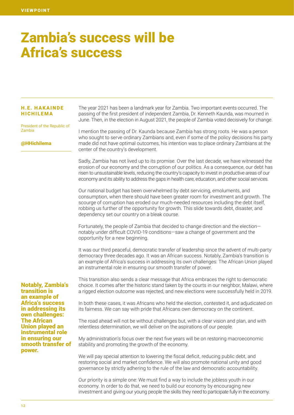## Zambia's success will be Africa's success

#### H.E. H AKAINDE HICHILEMA

President of the Republic of Zambia

#### @HHichilema

The year 2021 has been a landmark year for Zambia. Two important events occurred. The passing of the first president of independent Zambia, Dr. Kenneth Kaunda, was mourned in June. Then, in the election in August 2021, the people of Zambia voted decisively for change.

I mention the passing of Dr. Kaunda because Zambia has strong roots. He was a person who sought to serve ordinary Zambians and, even if some of the policy decisions his party made did not have optimal outcomes, his intention was to place ordinary Zambians at the center of the country's development.

Sadly, Zambia has not lived up to its promise. Over the last decade, we have witnessed the erosion of our economy and the corruption of our politics. As a consequence, our debt has risen to unsustainable levels, reducing the country's capacity to invest in productive areas of our economy and its ability to address the gaps in health care, education, and other social services.

Our national budget has been overwhelmed by debt servicing, emoluments, and consumption, when there should have been greater room for investment and growth. The scourge of corruption has eroded our much-needed resources including the debt itself, robbing us further of the opportunity for growth. This slide towards debt, disaster, and dependency set our country on a bleak course.

Fortunately, the people of Zambia that decided to change direction and the election notably under difficult COVID-19 conditions—saw a change of government and the opportunity for a new beginning.

It was our third peaceful, democratic transfer of leadership since the advent of multi-party democracy three decades ago. It was an African success. Notably, Zambia's transition is an example of Africa's success in addressing its own challenges: The African Union played an instrumental role in ensuring our smooth transfer of power.

This transition also sends a clear message that Africa embraces the right to democratic choice. It comes after the historic stand taken by the courts in our neighbor, Malawi, where a rigged election outcome was rejected, and new elections were successfully held in 2019.

In both these cases, it was Africans who held the election, contested it, and adjudicated on its fairness. We can say with pride that Africans own democracy on the continent.

The road ahead will not be without challenges but, with a clear vision and plan, and with relentless determination, we will deliver on the aspirations of our people.

My administration's focus over the next five years will be on restoring macroeconomic stability and promoting the growth of the economy.

We will pay special attention to lowering the fiscal deficit, reducing public debt, and restoring social and market confidence. We will also promote national unity and good governance by strictly adhering to the rule of the law and democratic accountability.

Our priority is a simple one: We must find a way to include the jobless youth in our economy. In order to do that, we need to build our economy by encouraging new investment and giving our young people the skills they need to participate fully in the economy.

Notably, Zambia's transition is an example of Africa's success in addressing its own challenges: The African Union played an instrumental role in ensuring our smooth transfer of power.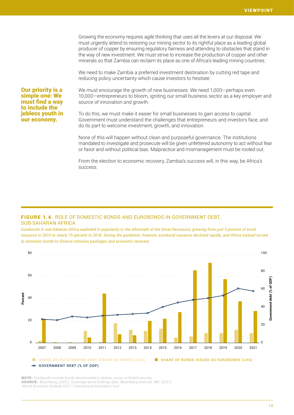Growing the economy requires agile thinking that uses all the levers at our disposal. We must urgently attend to restoring our mining sector to its rightful place as a leading global producer of copper by ensuring regulatory fairness and attending to obstacles that stand in the way of new investment. We must strive to increase the production of copper and other minerals so that Zambia can reclaim its place as one of Africa's leading mining countries.

We need to make Zambia a preferred investment destination by cutting red tape and reducing policy uncertainty which cause investors to hesitate.

Our priority is a simple one: We must find a way to include the jobless youth in our economy.

We must encourage the growth of new businesses. We need 1,000—perhaps even 10,000—entrepreneurs to bloom, igniting our small business sector as a key employer and source of innovation and growth.

To do this, we must make it easier for small businesses to gain access to capital. Government must understand the challenges that entrepreneurs and investors face, and do its part to welcome investment, growth, and innovation.

None of this will happen without clean and purposeful governance. The institutions mandated to investigate and prosecute will be given unfettered autonomy to act without fear or favor and without political bias. Malpractice and mismanagement must be rooted out.

From the election to economic recovery, Zambia's success will, in this way, be Africa's success.

#### FIGURE 1.4. ROLE OF DOMESTIC BONDS AND EUROBONDS IN GOVERNMENT DEBT, SUB-SAHARAN AFRICA

*Eurobonds in sub-Saharan Africa exploded in popularity in the aftermath of the Great Recession, growing from just 5 percent of bond issuance in 2010 to nearly 75 percent in 2018. During the pandemic, however, eurobond issuance declined rapidly, and Africa instead turned to domestic bonds to finance stimulus packages and economic recovery.*



NOTE: Eurobonds include bonds denominated in dollars, euros, or British pounds. SOURCE: Bloomberg. (2021). Sovereign bond holdings data. Bloomberg terminal. IMF. (2021). "World Economic Outlook 2021." International Monetary Fund.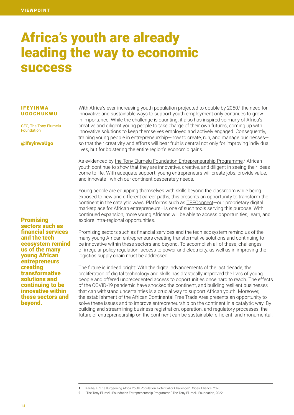## Africa's youth are already leading the way to economic success

#### IFEYINWA UGOCHUKWU

CEO, The Tony Elumelu Foundation

#### @IfeyinwaUgo

With Africa's ever-increasing youth population [projected to double by 2050](https://www.citiesalliance.org/newsroom/news/cities-alliance-news/%C2%A0burgeoning-africa-youth-population-potential-or-challenge%C2%A0#:~:text=Almost%2060%25%20of%20Africa),<sup>1</sup> the need for innovative and sustainable ways to support youth employment only continues to grow in importance. While the challenge is daunting, it also has inspired so many of Africa's creative and diligent young people to take charge of their own futures, coming up with innovative solutions to keep themselves employed and actively engaged. Consequently, training young people in entrepreneurship—how to create, run, and manage businesses so that their creativity and efforts will bear fruit is central not only for improving individual lives, but for bolstering the entire region's economic gains.

As evidenced by [the Tony Elumelu Foundation Entrepreneurship Programme,](https://www.tonyelumelufoundation.org/tef-entrepreneurship-programme)<sup>2</sup> African youth continue to show that they are innovative, creative, and diligent in seeing their ideas come to life. With adequate support, young entrepreneurs will create jobs, provide value, and innovate—which our continent desperately needs.

Young people are equipping themselves with skills beyond the classroom while being exposed to new and different career paths; this presents an opportunity to transform the continent in the catalytic ways. Platforms such as [TEFConnect—](https://tefconnect.com/)our proprietary digital marketplace for African entrepreneurs—is one of such tools serving this purpose. With continued expansion, more young Africans will be able to access opportunities, learn, and explore intra-regional opportunities.

Promising sectors such as financial services and the tech ecosystem remind us of the many young African entrepreneurs creating transformative solutions and continuing to be innovative within these sectors and beyond.

Promising sectors such as financial services and the tech ecosystem remind us of the many young African entrepreneurs creating transformative solutions and continuing to be innovative within these sectors and beyond. To accomplish all of these, challenges of irregular policy regulation, access to power and electricity, as well as in improving the logistics supply chain must be addressed.

The future is indeed bright: With the digital advancements of the last decade, the proliferation of digital technology and skills has drastically improved the lives of young people and offered unprecedented access to opportunities once hard to reach. The effects of the COVID-19 pandemic have shocked the continent, and building resilient businesses that can withstand uncertainties is a crucial way to support African youth. Moreover, the establishment of the African Continental Free Trade Area presents an opportunity to solve these issues and to improve entrepreneurship on the continent in a catalytic way. By building and streamlining business registration, operation, and regulatory processes, the future of entrepreneurship on the continent can be sustainable, efficient, and monumental.

1 Kariba, F. "The Burgeoning Africa Youth Population: Potential or Challenge?". Cities Alliance. 2020.

2 "The Tony Elumelu Foundation Entrepreneurship Programme." The Tony Elumelu Foundation, 2022.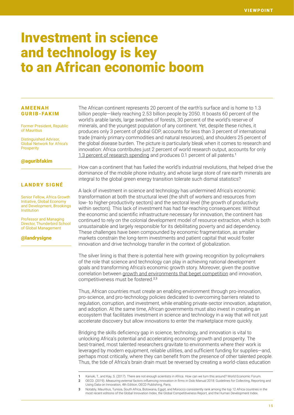## Investment in science and technology is key to an African economic boom

#### AMEENAH GURIB-FAKIM

Former President, Republic of Mauritius

Distinguished Advisor, Global Network for Africa's **Prosperity** 

#### @aguribfakim

#### LANDRY SIGNÉ

Senior Fellow, Africa Growth Initiative, Global Economy and Development, Brookings Institution

Professor and Managing Director, Thunderbird School of Global Management

@landrysigne

The African continent represents 20 percent of the earth's surface and is home to 1.3 billion people—likely reaching 2.53 billion people by 2050. It boasts 60 percent of the world's arable lands, large swathes of forests, 30 percent of the world's reserve of minerals, and the youngest population of any continent. Yet, despite these riches, it produces only 3 percent of global GDP, accounts for less than 3 percent of international trade (mainly primary commodities and natural resources), and shoulders 25 percent of the global disease burden. The picture is particularly bleak when it comes to research and innovation: Africa contributes just 2 percent of world research output, accounts for only [1.3 percent of research spending](https://www.weforum.org/agenda/2017/05/scientists-are-the-key-to-africas-future/) and produces 0.1 percent of all patents.<sup>1</sup>

How can a continent that has fueled the world's industrial revolutions, that helped drive the dominance of the mobile phone industry, and whose large store of rare earth minerals are integral to the global green energy transition tolerate such dismal statistics?

A lack of investment in science and technology has undermined Africa's economic transformation at both the structural level (the shift of workers and resources from low- to higher-productivity sectors) and the sectoral level (the growth of productivity within sectors). This lack of investment has had far-reaching consequences: Without the economic and scientific infrastructure necessary for innovation, the continent has continued to rely on the colonial development model of resource extraction, which is both unsustainable and largely responsible for its debilitating poverty and aid dependency. These challenges have been compounded by economic fragmentation, as smaller markets constrain the long-term investments and patient capital that would foster innovation and drive technology transfer in the context of globalization.

The silver lining is that there is potential here with growing recognition by policymakers of the role that science and technology can play in achieving national development goals and transforming Africa's economic growth story. Moreover, given the positive correlation between [growth and environments that beget competition](https://doi.org/10.1787/9789264304604-10-en) and innovation, competitiveness must be fostered.<sup>2</sup>,<sup>3</sup>

Thus, African countries must create an enabling environment through pro-innovation, pro-science, and pro-technology policies dedicated to overcoming barriers related to regulation, corruption, and investment, while enabling private-sector innovation, adaptation, and adoption. At the same time, African governments must also invest in creating an ecosystem that facilitates investment in science and technology in a way that will not just accelerate discovery but allow innovations to enter the marketplace more quickly.

Bridging the skills deficiency gap in science, technology, and innovation is vital to unlocking Africa's potential and accelerating economic growth and prosperity. The best-trained, most talented researchers gravitate to environments where their work is leveraged by modern equipment, reliable utilities, and sufficient funding for supplies—and, perhaps most critically, where they can benefit from the presence of other talented people. Thus, the tide of Africa's brain drain must be reversed by creating a world-class education

<sup>1</sup> Kariuki, T., and Kay, S. (2017). There are not enough scientists in Africa. How can we turn this around? World Economic Forum. 2 OECD. (2019). *Measuring external factors influencing innovation in firms* in Oslo Manual 2018: Guidelines for Collecting, Reporting and Using Data on Innovation, 4th Edition, OECD Publishing, Paris.

<sup>3</sup> Notably, Mauritius, Tunisia, South Africa, Botswana, Egypt, and Morocco consistently rank among the top 12 Africa countries in the most recent editions of the Global Innovation Index, the Global Competitiveness Report, and the Human Development Index.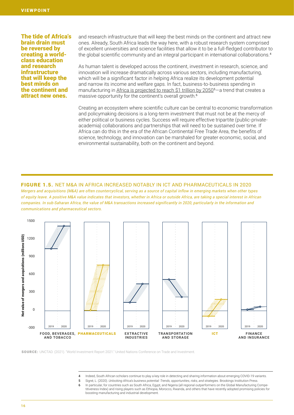The tide of Africa's brain drain must be reversed by creating a worldclass education and research infrastructure that will keep the best minds on the continent and attract new ones.

and research infrastructure that will keep the best minds on the continent and attract new ones. Already, South Africa leads the way here, with a robust research system comprised of excellent universities and science facilities that allow it to be a full-fledged contributor to the global scientific community and an integral participant in international collaborations.<sup>4</sup>

As human talent is developed across the continent, investment in research, science, and innovation will increase dramatically across various sectors, including manufacturing, which will be a significant factor in helping Africa realize its development potential and narrow its income and welfare gaps. In fact, business-to-business spending in manufacturing in [Africa is projected to reach \\$1 trillion by 2050](https://www.brookings.edu/book/unlocking-africas-business-potential/)<sup>5</sup>-a trend that creates a massive opportunity for the continent's overall growth.<sup>6</sup>

Creating an ecosystem where scientific culture can be central to economic transformation and policymaking decisions is a long-term investment that must not be at the mercy of either political or business cycles. Success will require effective tripartite (public-privateacademia) collaborations and partnerships that will need to be sustained over time. If Africa can do this in the era of the African Continental Free Trade Area, the benefits of science, technology, and innovation can be marshaled for greater economic, social, and environmental sustainability, both on the continent and beyond.

#### FIGURE 1.5. NET M&A IN AFRICA INCREASED NOTABLY IN ICT AND PHARMACEUTICALS IN 2020

*Mergers and acquisitions (M&A) are often countercyclical, serving as a source of capital inflow in emerging markets when other types of equity leave. A positive M&A value indicates that investors, whether in Africa or outside Africa, are taking a special interest in African companies. In sub-Saharan Africa, the value of M&A transactions increased significantly in 2020, particularly in the information and communications and pharmaceutical sectors.*



SOURCE: UNCTAD. (2021). "World Investment Report 2021." United Nations Conference on Trade and Investment.

- 4 Indeed, South African scholars continue to play a key role in detecting and sharing information about emerging COVID-19 variants.
- 5 Signé, L. (2020). *Unlocking Africa's business potential: Trends, opportunities, risks, and strategies*. Brookings Institution Press.
- 6 In particular, for countries such as South Africa, Egypt, and Nigeria (all regional outperformers on the Global Manufacturing Competitiveness Index) and rising players such as Ethiopia, Morocco, Rwanda, and others that have recently adopted promising policies for boosting manufacturing and industrial development.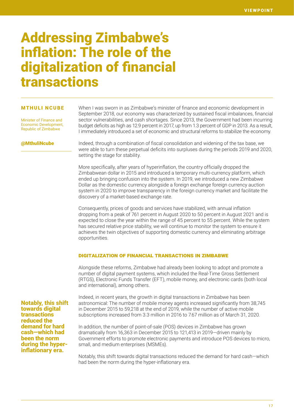## Addressing Zimbabwe's inflation: The role of the digitalization of financial transactions

#### MTHULI NCUBE

Minister of Finance and Economic Development, Republic of Zimbabwe

When I was sworn in as Zimbabwe's minister of finance and economic development in September 2018, our economy was characterized by sustained fiscal imbalances, financial sector vulnerabilities, and cash shortages. Since 2013, the Government had been incurring budget deficits as high as 12.9 percent in 2017, up from 1.3 percent of GDP in 2013. As a result, I immediately introduced a set of economic and structural reforms to stabilize the economy.

@MthuliNcube

Indeed, through a combination of fiscal consolidation and widening of the tax base, we were able to turn these perpetual deficits into surpluses during the periods 2019 and 2020, setting the stage for stability.

More specifically, after years of hyperinflation, the country officially dropped the Zimbabwean dollar in 2015 and introduced a temporary multi-currency platform, which ended up bringing confusion into the system. In 2019, we introduced a new Zimbabwe Dollar as the domestic currency alongside a foreign exchange foreign currency auction system in 2020 to improve transparency in the foreign currency market and facilitate the discovery of a market-based exchange rate.

Consequently, prices of goods and services have stabilized, with annual inflation dropping from a peak of 761 percent in August 2020 to 50 percent in August 2021 and is expected to close the year within the range of 45 percent to 55 percent. While the system has secured relative price stability, we will continue to monitor the system to ensure it achieves the twin objectives of supporting domestic currency and eliminating arbitrage opportunities.

#### Digitalization of financial transactions in Zimbabwe

Alongside these reforms, Zimbabwe had already been looking to adopt and promote a number of digital payment systems, which included the Real-Time Gross Settlement (RTGS), Electronic Funds Transfer (EFT), mobile money, and electronic cards (both local and international), among others.

Notably, this shift towards digital transactions reduced the demand for hard cash—which had been the norm during the hyperinflationary era.

Indeed, in recent years, the growth in digital transactions in Zimbabwe has been astronomical: The number of mobile money agents increased significantly from 38,745 in December 2015 to 59,218 at the end of 2019, while the number of active mobile subscriptions increased from 3.3 million in 2016 to 7.67 million as of March 31, 2020.

In addition, the number of point-of-sale (POS) devices in Zimbabwe has grown dramatically from 16,363 in December 2015 to 121,413 in 2019—driven mainly by Government efforts to promote electronic payments and introduce POS devices to micro, small, and medium enterprises (MSMEs).

Notably, this shift towards digital transactions reduced the demand for hard cash—which had been the norm during the hyper-inflationary era.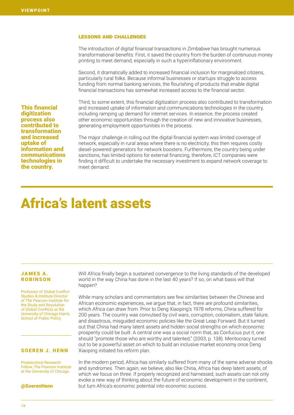#### Lessons and challenges

The introduction of digital financial transactions in Zimbabwe has brought numerous transformational benefits: First, it saved the country from the burden of continuous money printing to meet demand, especially in such a hyperinflationary environment.

Second, it dramatically added to increased financial inclusion for marginalized citizens, particularly rural folks. Because informal businesses or startups struggle to access funding from normal banking services, the flourishing of products that enable digital financial transactions has somewhat increased access to the financial sector.

Third, to some extent, this financial digitization process also contributed to transformation and increased uptake of information and communications technologies in the country, including ramping up demand for internet services. In essence, the process created other economic opportunities through the creation of new and innovative businesses, generating employment opportunities in the process.

The major challenge in rolling out the digital financial system was limited coverage of network, especially in rural areas where there is no electricity, this then requires costly diesel-powered generators for network boosters. Furthermore, the country being under sanctions, has limited options for external financing, therefore, ICT companies were finding it difficult to undertake the necessary investment to expand network coverage to meet demand.

# Africa's latent assets

#### **JAMES A.** ROBINSON

Professor of Global Conflict Studies & Institute Director of The Pearson Institute for the Study and Resolution of Global Conflicts at the University of Chicago Harris School of Public Policy

#### SOEREN J. HENN

Postdoctoral Research Fellow, The Pearson Institute at the University of Chicago

#### @SoerenHenn

Will Africa finally begin a sustained convergence to the living standards of the developed world in the way China has done in the last 40 years? If so, on what basis will that happen?

While many scholars and commentators see few similarities between the Chinese and African economic experiences, we argue that, in fact, there are profound similarities, which Africa can draw from. Prior to Deng Xiaoping's 1978 reforms, China suffered for 200 years. The country was convulsed by civil wars, corruption, colonialism, state failure, and disastrous, misguided economic policies like the Great Leap Forward. But it turned out that China had many latent assets and hidden social strengths on which economic prosperity could be built. A central one was a social norm that, as Confucius put it, one should "promote those who are worthy and talented," (2003, p. 138). Meritocracy turned out to be a powerful asset on which to build an inclusive market economy once Deng Xiaoping initiated his reform plan.

In the modern period, Africa has similarly suffered from many of the same adverse shocks and syndromes. Then again, we believe, also like China, Africa has deep latent assets, of which we focus on three. If properly recognized and harnessed, such assets can not only evoke a new way of thinking about the future of economic development in the continent, but turn Africa's economic potential into economic success.

This financial digitization process also contributed to transformation and increased uptake of information and communications technologies in the country.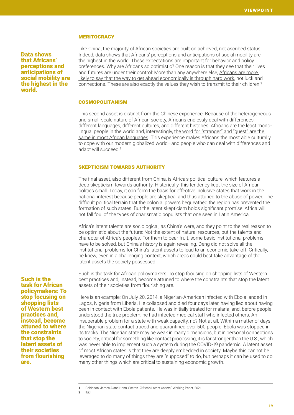#### **MERITOCRACY**

Data shows that Africans' perceptions and anticipations of social mobility are the highest in the world.

Such is the task for African policymakers: To stop focusing on shopping lists of Western best practices and, instead, become attuned to where the constraints that stop the latent assets of their societies from flourishing

are.

Like China, the majority of African societies are built on achieved, not ascribed status: Indeed, data shows that Africans' perceptions and anticipations of social mobility are the highest in the world. These expectations are important for behavior and policy preferences. Why are Africans so optimistic? One reason is that they see that their lives and futures are under their control: More than any anywhere else, [Africans are more](https://voices.uchicago.edu/jamesrobinson/2021/03/22/africas-latent-assets/)  [likely to say that the way to get ahead economically is through hard work](https://voices.uchicago.edu/jamesrobinson/2021/03/22/africas-latent-assets/), not luck and connections. These are also exactly the values they wish to transmit to their children.<sup>1</sup>

#### **COSMOPOLITANISM**

This second asset is distinct from the Chinese experience. Because of the heterogeneous and small-scale nature of African society, Africans endlessly deal with differences: different languages, different cultures, and different histories. Africans are the least monolingual people in the world and, interestingly, the word for "stranger" and "guest" are the [same in most African languages](https://voices.uchicago.edu/jamesrobinson/2021/03/22/africas-latent-assets/). This experience makes Africans the most able culturally to cope with our modern globalized world—and people who can deal with differences and adapt will succeed.<sup>2</sup>

#### Skepticism towards authority

The final asset, also different from China, is Africa's political culture, which features a deep skepticism towards authority. Historically, this tendency kept the size of African polities small. Today, it can form the basis for effective inclusive states that work in the national interest because people are skeptical and thus attuned to the abuse of power. The difficult political terrain that the colonial powers bequeathed the region has prevented the formation of such states. But the latent skepticism holds significant promise: Africa will not fall foul of the types of charismatic populists that one sees in Latin America.

Africa's latent talents are sociological, as China's were, and they point to the real reason to be optimistic about the future: Not the extent of natural resources, but the talents and character of Africa's peoples. For them to bear fruit, some basic institutional problems have to be solved, but China's history is again revealing. Deng did not solve all the institutional problems for China's latent assets to lead to an economic take-off. Critically, he knew, even in a challenging context, which areas could best take advantage of the latent assets the society possessed.

Such is the task for African policymakers: To stop focusing on shopping lists of Western best practices and, instead, become attuned to where the constraints that stop the latent assets of their societies from flourishing are.

Here is an example: On July 20, 2014, a Nigerian-American infected with Ebola landed in Lagos, Nigeria from Liberia. He collapsed and died four days later, having lied about having been in contact with Ebola patients. He was initially treated for malaria, and, before people understood the true problem, he had infected medical staff who infected others. An insuperable problem for a state with weak capacity, no? Not at all. Within a matter of days, the Nigerian state contact traced and quarantined over 500 people. Ebola was stopped in its tracks. The Nigerian state may be weak in many dimensions, but in personal connections to society, critical for something like contact processing, it is far stronger than the U.S., which was never able to implement such a system during the COVID-19 pandemic. A latent asset of most African states is that they are deeply embedded in society. Maybe this cannot be leveraged to do many of things they are "supposed" to do, but perhaps it can be used to do many other things which are critical to sustaining economic growth.

1 Robinson, James A and Henn, Soeren. "Africa's Latent Assets," Working Paper, 2021.

2 Ibid.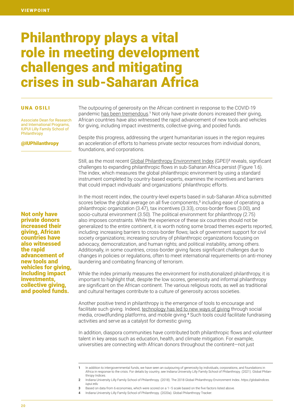## Philanthropy plays a vital role in meeting development challenges and mitigating crises in sub-Saharan Africa

#### UNA OSILI

Associate Dean for Research and International Programs, IUPUI Lilly Family School of **Philanthropy** 

#### @IUPhilanthropy

The outpouring of generosity on the African continent in response to the COVID-19 pandemic [has been tremendous](https://globalindices.iupui.edu/tracker/country-reports/index.html).<sup>1</sup> Not only have private donors increased their giving, African countries have also witnessed the rapid advancement of new tools and vehicles for giving, including impact investments, collective giving, and pooled funds.

Despite this progress, addressing the urgent humanitarian issues in the region requires an acceleration of efforts to harness private sector resources from individual donors, foundations, and corporations.

Still, as the most recent [Global Philanthropy Environment Index](https://globalindices.iupui.edu/tracker/country-reports/index.html) (GPEI)<sup>2</sup> reveals, significant challenges to expanding philanthropic flows in sub-Saharan Africa persist (Figure 1.6). The index, which measures the global philanthropic environment by using a standard instrument completed by country-based experts, examines the incentives and barriers that could impact individuals' and organizations' philanthropic efforts.

In the most recent index, the country-level experts based in sub-Saharan Africa submitted scores below the global average on all five components,<sup>3</sup> including ease of operating a philanthropic organization (3.47), tax incentives (3.33), cross-border flows (3.00), and socio-cultural environment (3.50). The political environment for philanthropy (2.75) also imposes constraints. While the experience of these six countries should not be generalized to the entire continent, it is worth noting some broad themes experts reported, including: increasing barriers to cross-border flows; lack of government support for civil society organizations; increasing scrutiny of philanthropic organizations focusing on advocacy, democratization, and human rights; and political instability, among others. Additionally, in some countries, cross-border giving faces significant challenges due to changes in policies or regulations, often to meet international requirements on anti-money laundering and combating financing of terrorism.

While the index primarily measures the environment for institutionalized philanthropy, it is important to highlight that, despite the low scores, generosity and informal philanthropy are significant on the African continent. The various religious roots, as well as traditional and cultural heritages contribute to a culture of generosity across societies.

Another positive trend in philanthropy is the emergence of tools to encourage and facilitate such giving. Indeed, [technology has led to new ways of giving](https://globalindices.iupui.edu/tracker/index.html) through social media, crowdfunding platforms, and mobile giving.<sup>4</sup> Such tools could facilitate fundraising activities and serve as a catalyst for domestic giving.

In addition, diaspora communities have contributed both philanthropic flows and volunteer talent in key areas such as education, health, and climate mitigation. For example, universities are connecting with African donors throughout the continent—not just

- 3 Based on data from 6 economies, which were scored on a 1-5 scale based on the five factors listed above.
- 4 Indiana University Lilly Family School of Philanthropy. (2020a). Global Philanthropy Tracker.

Not only have private donors increased their giving, African countries have also witnessed the rapid advancement of new tools and vehicles for giving, including impact investments, collective giving, and pooled funds.

<sup>1</sup> In addition to intergovernmental funds, we have seen an outpouring of generosity by individuals, corporations, and foundations in Africa in response to the crisis. For details by country, see Indiana University Lilly Family School of Philanthropy. (2021). Global Philanthropy Indices.

<sup>2</sup> Indiana University Lilly Family School of Philanthropy. (2018). The 2018 Global Philanthropy Environment Index. *https://globalindices. iupui.edu*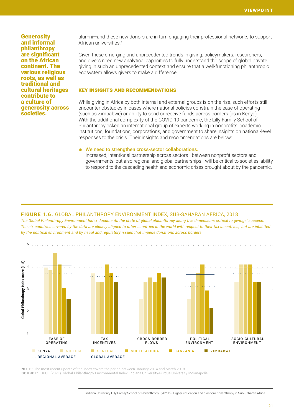**Generosity** and informal philanthropy are significant on the African continent. The various religious roots, as well as traditional and cultural heritages contribute to a culture of generosity across societies.

alumni—and these [new donors are in turn engaging their professional networks to support](https://globalindices.iupui.edu/diaspora/)  [African universities](https://globalindices.iupui.edu/diaspora/). 5

Given these emerging and unprecedented trends in giving, policymakers, researchers, and givers need new analytical capacities to fully understand the scope of global private giving in such an unprecedented context and ensure that a well-functioning philanthropic ecosystem allows givers to make a difference.

#### Key insights and recommendations

While giving in Africa by both internal and external groups is on the rise, such efforts still encounter obstacles in cases where national policies constrain the ease of operating (such as Zimbabwe) or ability to send or receive funds across borders (as in Kenya). With the additional complexity of the COVID-19 pandemic, the Lilly Family School of Philanthropy asked an international group of experts working in nonprofits, academic institutions, foundations, corporations, and government to share insights on national-level responses to the crisis. Their insights and recommendations are below:

#### We need to strengthen cross-sector collaborations.

Increased, intentional partnership across sectors—between nonprofit sectors and governments, but also regional and global partnerships—will be critical to societies' ability to respond to the cascading health and economic crises brought about by the pandemic.

#### FIGURE 1.6. GLOBAL PHILANTHROPY ENVIRONMENT INDEX, SUB-SAHARAN AFRICA, 2018

*The Global Philanthropy Environment Index documents the state of global philanthropy along five dimensions critical to givings' success. The six countries covered by the data are closely aligned to other countries in the world with respect to their tax incentives, but are inhibited by the political environment and by fiscal and regulatory issues that impede donations across borders.*



NOTE: The most recent update of the index covers the period between January 2014 and March 2018. SOURCE: IUPUI. (2021). Global Philanthropy Environmental Index. Indiana University-Purdue University Indianapolis.

5 Indiana University Lilly Family School of Philanthropy. (2020b). Higher education and diaspora philanthropy in Sub-Saharan Africa.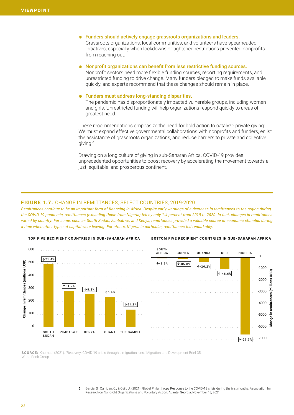- ⁕ Funders should actively engage grassroots organizations and leaders. Grassroots organizations, local communities, and volunteers have spearheaded initiatives, especially when lockdowns or tightened restrictions prevented nonprofits from reaching out.
- ⁕ Nonprofit organizations can benefit from less restrictive funding sources. Nonprofit sectors need more flexible funding sources, reporting requirements, and
	- unrestricted funding to drive change. Many funders pledged to make funds available quickly, and experts recommend that these changes should remain in place.

#### Funders must address long-standing disparities.

The pandemic has disproportionately impacted vulnerable groups, including women and girls. Unrestricted funding will help organizations respond quickly to areas of greatest need.

These recommendations emphasize the need for bold action to catalyze private giving: We must expand effective governmental collaborations with nonprofits and funders, enlist the assistance of grassroots organizations, and reduce barriers to private and collective giving.<sup>6</sup>

Drawing on a long culture of giving in sub-Saharan Africa, COVID-19 provides unprecedented opportunities to boost recovery by accelerating the movement towards a just, equitable, and prosperous continent.

#### FIGURE 1.7. CHANGE IN REMITTANCES, SELECT COUNTRIES, 2019-2020

*Remittances continue to be an important form of financing in Africa. Despite early warnings of a decrease in remittances to the region during the COVID-19 pandemic, remittances (excluding those from Nigeria) fell by only 1.4 percent from 2019 to 2020. In fact, changes in remittances varied by country. For some, such as South Sudan, Zimbabwe, and Kenya, remittances provided a valuable source of economic stimulus during a time when other types of capital were leaving. For others, Nigeria in particular, remittances fell remarkably.*



#### TOP FIVE RECIPIENT COUNTRIES IN SUB-SAHARAN AFRICA BOTTOM FIVE RECIPIENT COUNTRIES IN SUB-SAHARAN AFRICA

SOURCE: Knomad. (2021). "Recovery: COVID-19 crisis through a migration lens." Migration and Development Brief 35. World Bank Group

> 6 Garcia, S., Carrigan, C., & Osili, U. (2021). Global Philanthropy Response to the COVID-19 crisis during the first months. Association for Research on Nonprofit Organizations and Voluntary Action. Atlanta, Georgia, November 18, 2021.